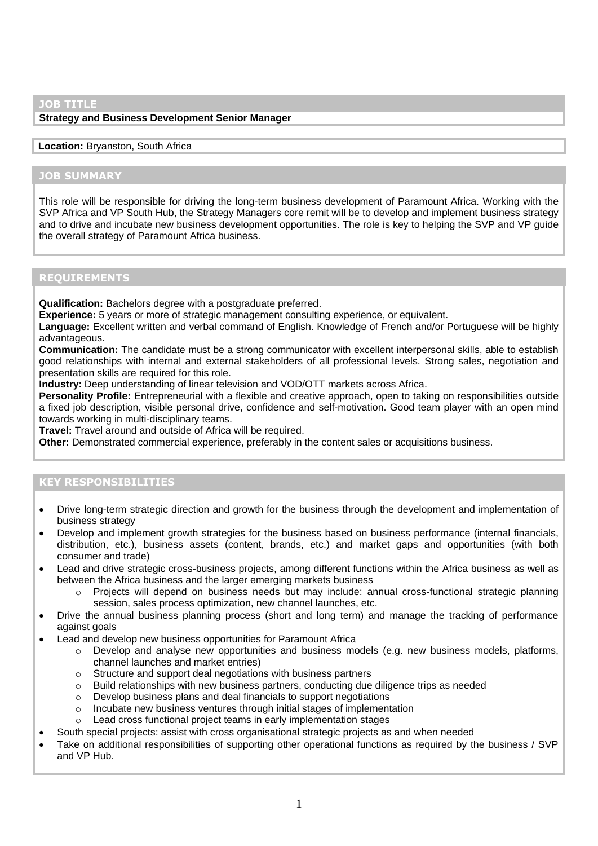#### **JOB TITLE**

### **Strategy and Business Development Senior Manager**

#### **Location:** Bryanston, South Africa

## **JOB SUMMARY**

This role will be responsible for driving the long-term business development of Paramount Africa. Working with the SVP Africa and VP South Hub, the Strategy Managers core remit will be to develop and implement business strategy and to drive and incubate new business development opportunities. The role is key to helping the SVP and VP guide the overall strategy of Paramount Africa business.

# **REQUIREMENTS**

**Qualification:** Bachelors degree with a postgraduate preferred.

**Experience:** 5 years or more of strategic management consulting experience, or equivalent.

**Language:** Excellent written and verbal command of English. Knowledge of French and/or Portuguese will be highly advantageous.

**Communication:** The candidate must be a strong communicator with excellent interpersonal skills, able to establish good relationships with internal and external stakeholders of all professional levels. Strong sales, negotiation and presentation skills are required for this role.

**Industry:** Deep understanding of linear television and VOD/OTT markets across Africa.

**Personality Profile:** Entrepreneurial with a flexible and creative approach, open to taking on responsibilities outside a fixed job description, visible personal drive, confidence and self-motivation. Good team player with an open mind towards working in multi-disciplinary teams.

**Travel:** Travel around and outside of Africa will be required.

**Other:** Demonstrated commercial experience, preferably in the content sales or acquisitions business.

## **KEY RESPONSIBILITIES**

- Drive long-term strategic direction and growth for the business through the development and implementation of business strategy
- Develop and implement growth strategies for the business based on business performance (internal financials, distribution, etc.), business assets (content, brands, etc.) and market gaps and opportunities (with both consumer and trade)
- Lead and drive strategic cross-business projects, among different functions within the Africa business as well as between the Africa business and the larger emerging markets business
	- o Projects will depend on business needs but may include: annual cross-functional strategic planning session, sales process optimization, new channel launches, etc.
- Drive the annual business planning process (short and long term) and manage the tracking of performance against goals
- Lead and develop new business opportunities for Paramount Africa
	- $\circ$  Develop and analyse new opportunities and business models (e.g. new business models, platforms, channel launches and market entries)
	- o Structure and support deal negotiations with business partners
	- o Build relationships with new business partners, conducting due diligence trips as needed
	- o Develop business plans and deal financials to support negotiations
	- o Incubate new business ventures through initial stages of implementation
	- Lead cross functional project teams in early implementation stages
	- South special projects: assist with cross organisational strategic projects as and when needed
- Take on additional responsibilities of supporting other operational functions as required by the business / SVP and VP Hub.